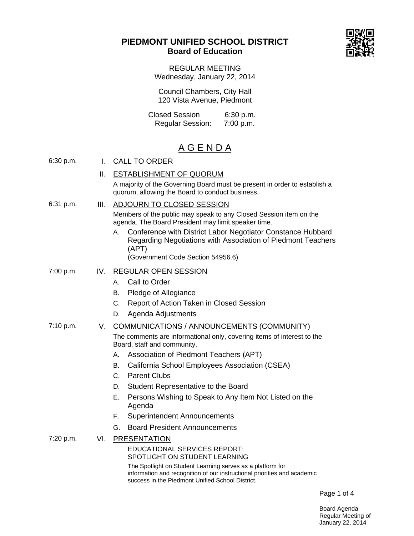# **PIEDMONT UNIFIED SCHOOL DISTRICT Board of Education**



REGULAR MEETING Wednesday, January 22, 2014

Council Chambers, City Hall 120 Vista Avenue, Piedmont

Closed Session 6:30 p.m.<br>Regular Session: 7:00 p.m. Regular Session:

# A G E N D A

| 6:30 p.m. | L.   | <b>CALL TO ORDER</b>                                                                                                                                                                       |
|-----------|------|--------------------------------------------------------------------------------------------------------------------------------------------------------------------------------------------|
|           | ΙΙ.  | <b>ESTABLISHMENT OF QUORUM</b>                                                                                                                                                             |
|           |      | A majority of the Governing Board must be present in order to establish a<br>quorum, allowing the Board to conduct business.                                                               |
| 6:31 p.m. | III. | ADJOURN TO CLOSED SESSION                                                                                                                                                                  |
|           |      | Members of the public may speak to any Closed Session item on the<br>agenda. The Board President may limit speaker time.                                                                   |
|           |      | Conference with District Labor Negotiator Constance Hubbard<br>А.<br>Regarding Negotiations with Association of Piedmont Teachers<br>(APT)<br>(Government Code Section 54956.6)            |
| 7:00 p.m. | IV.  | <b>REGULAR OPEN SESSION</b>                                                                                                                                                                |
|           |      | Call to Order<br>А.                                                                                                                                                                        |
|           |      | Pledge of Allegiance<br>В.                                                                                                                                                                 |
|           |      | Report of Action Taken in Closed Session<br>C.                                                                                                                                             |
|           |      | Agenda Adjustments<br>D.                                                                                                                                                                   |
| 7:10 p.m. | V.   | COMMUNICATIONS / ANNOUNCEMENTS (COMMUNITY)                                                                                                                                                 |
|           |      | The comments are informational only, covering items of interest to the<br>Board, staff and community.                                                                                      |
|           |      | Association of Piedmont Teachers (APT)<br>А.                                                                                                                                               |
|           |      | California School Employees Association (CSEA)<br>В.                                                                                                                                       |
|           |      | <b>Parent Clubs</b><br>C.                                                                                                                                                                  |
|           |      | Student Representative to the Board<br>D.                                                                                                                                                  |
|           |      | Е.<br>Persons Wishing to Speak to Any Item Not Listed on the<br>Agenda                                                                                                                     |
|           |      | <b>Superintendent Announcements</b><br>F.                                                                                                                                                  |
|           |      | <b>Board President Announcements</b><br>G.                                                                                                                                                 |
| 7:20 p.m. | VI.  | <b>PRESENTATION</b>                                                                                                                                                                        |
|           |      | <b>EDUCATIONAL SERVICES REPORT:</b><br>SPOTLIGHT ON STUDENT LEARNING                                                                                                                       |
|           |      | The Spotlight on Student Learning serves as a platform for<br>information and recognition of our instructional priorities and academic<br>success in the Piedmont Unified School District. |

Page 1 of 4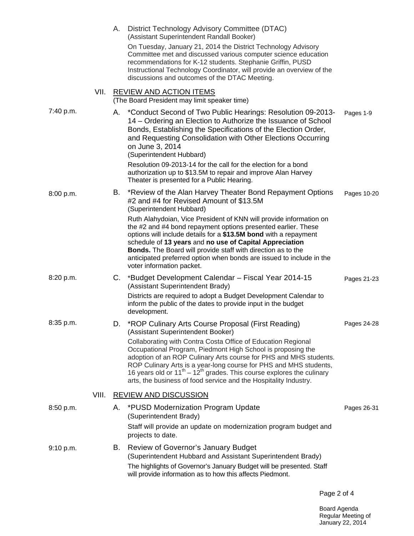|           |       | А. | District Technology Advisory Committee (DTAC)<br>(Assistant Superintendent Randall Booker)<br>On Tuesday, January 21, 2014 the District Technology Advisory<br>Committee met and discussed various computer science education<br>recommendations for K-12 students. Stephanie Griffin, PUSD<br>Instructional Technology Coordinator, will provide an overview of the<br>discussions and outcomes of the DTAC Meeting.                                                                                                 |             |
|-----------|-------|----|-----------------------------------------------------------------------------------------------------------------------------------------------------------------------------------------------------------------------------------------------------------------------------------------------------------------------------------------------------------------------------------------------------------------------------------------------------------------------------------------------------------------------|-------------|
|           | VII.  |    | <b>REVIEW AND ACTION ITEMS</b><br>(The Board President may limit speaker time)                                                                                                                                                                                                                                                                                                                                                                                                                                        |             |
| 7:40 p.m. |       |    | A. *Conduct Second of Two Public Hearings: Resolution 09-2013-<br>14 – Ordering an Election to Authorize the Issuance of School<br>Bonds, Establishing the Specifications of the Election Order,<br>and Requesting Consolidation with Other Elections Occurring<br>on June 3, 2014<br>(Superintendent Hubbard)<br>Resolution 09-2013-14 for the call for the election for a bond                                                                                                                                      | Pages 1-9   |
|           |       |    | authorization up to \$13.5M to repair and improve Alan Harvey<br>Theater is presented for a Public Hearing.                                                                                                                                                                                                                                                                                                                                                                                                           |             |
| 8:00 p.m. |       | В. | *Review of the Alan Harvey Theater Bond Repayment Options<br>#2 and #4 for Revised Amount of \$13.5M<br>(Superintendent Hubbard)                                                                                                                                                                                                                                                                                                                                                                                      | Pages 10-20 |
|           |       |    | Ruth Alahydoian, Vice President of KNN will provide information on<br>the #2 and #4 bond repayment options presented earlier. These<br>options will include details for a \$13.5M bond with a repayment<br>schedule of 13 years and no use of Capital Appreciation<br><b>Bonds.</b> The Board will provide staff with direction as to the<br>anticipated preferred option when bonds are issued to include in the<br>voter information packet.                                                                        |             |
| 8:20 p.m. |       | C. | *Budget Development Calendar – Fiscal Year 2014-15<br>(Assistant Superintendent Brady)                                                                                                                                                                                                                                                                                                                                                                                                                                | Pages 21-23 |
|           |       |    | Districts are required to adopt a Budget Development Calendar to<br>inform the public of the dates to provide input in the budget<br>development.                                                                                                                                                                                                                                                                                                                                                                     |             |
| 8:35 p.m. |       | D. | *ROP Culinary Arts Course Proposal (First Reading)<br>(Assistant Superintendent Booker)<br>Collaborating with Contra Costa Office of Education Regional<br>Occupational Program, Piedmont High School is proposing the<br>adoption of an ROP Culinary Arts course for PHS and MHS students.<br>ROP Culinary Arts is a year-long course for PHS and MHS students,<br>16 years old or $11^{th} - 12^{th}$ grades. This course explores the culinary<br>arts, the business of food service and the Hospitality Industry. | Pages 24-28 |
|           | VIII. |    | <b>REVIEW AND DISCUSSION</b>                                                                                                                                                                                                                                                                                                                                                                                                                                                                                          |             |
| 8:50 p.m. |       | А. | *PUSD Modernization Program Update<br>(Superintendent Brady)<br>Staff will provide an update on modernization program budget and<br>projects to date.                                                                                                                                                                                                                                                                                                                                                                 | Pages 26-31 |
| 9:10 p.m. |       | В. | Review of Governor's January Budget<br>(Superintendent Hubbard and Assistant Superintendent Brady)<br>The highlights of Governor's January Budget will be presented. Staff<br>will provide information as to how this affects Piedmont.                                                                                                                                                                                                                                                                               |             |

Page 2 of 4

Board Agenda Regular Meeting of January 22, 2014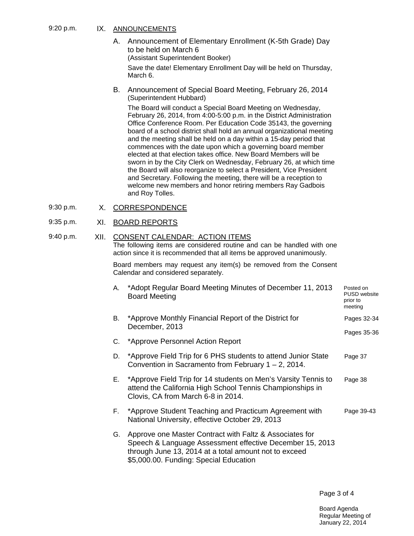#### 9:20 p.m. IX. ANNOUNCEMENTS

- A. Announcement of Elementary Enrollment (K-5th Grade) Day to be held on March 6 (Assistant Superintendent Booker) Save the date! Elementary Enrollment Day will be held on Thursday, March 6.
- B. Announcement of Special Board Meeting, February 26, 2014 (Superintendent Hubbard)

The Board will conduct a Special Board Meeting on Wednesday, February 26, 2014, from 4:00-5:00 p.m. in the District Administration Office Conference Room. Per Education Code 35143, the governing board of a school district shall hold an annual organizational meeting and the meeting shall be held on a day within a 15-day period that commences with the date upon which a governing board member elected at that election takes office. New Board Members will be sworn in by the City Clerk on Wednesday, February 26, at which time the Board will also reorganize to select a President, Vice President and Secretary. Following the meeting, there will be a reception to welcome new members and honor retiring members Ray Gadbois and Roy Tolles.

9:30 p.m. X. CORRESPONDENCE

# 9:35 p.m. XI. BOARD REPORTS

# 9:40 p.m. XII. CONSENT CALENDAR: ACTION ITEMS

The following items are considered routine and can be handled with one action since it is recommended that all items be approved unanimously.

Board members may request any item(s) be removed from the Consent Calendar and considered separately.

| А. | *Adopt Regular Board Meeting Minutes of December 11, 2013<br><b>Board Meeting</b>                                                                                                                                      | Posted on<br>PUSD website<br>prior to<br>meeting |
|----|------------------------------------------------------------------------------------------------------------------------------------------------------------------------------------------------------------------------|--------------------------------------------------|
| В. | *Approve Monthly Financial Report of the District for<br>December, 2013                                                                                                                                                | Pages 32-34                                      |
|    | C. *Approve Personnel Action Report                                                                                                                                                                                    | Pages 35-36                                      |
| D. | *Approve Field Trip for 6 PHS students to attend Junior State<br>Convention in Sacramento from February $1 - 2$ , 2014.                                                                                                | Page 37                                          |
| E. | *Approve Field Trip for 14 students on Men's Varsity Tennis to<br>attend the California High School Tennis Championships in<br>Clovis, CA from March 6-8 in 2014.                                                      | Page 38                                          |
|    | F. *Approve Student Teaching and Practicum Agreement with<br>National University, effective October 29, 2013                                                                                                           | Page 39-43                                       |
| G. | Approve one Master Contract with Faltz & Associates for<br>Speech & Language Assessment effective December 15, 2013<br>through June 13, 2014 at a total amount not to exceed<br>\$5,000.00. Funding: Special Education |                                                  |

Page 3 of 4